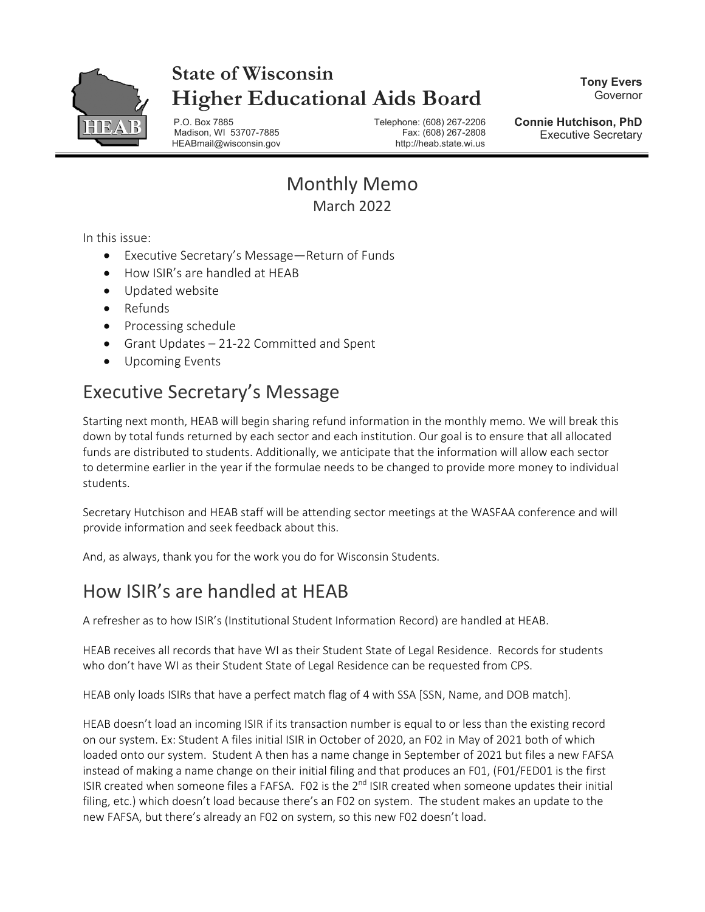

# **State of Wisconsin Higher Educational Aids Board**

**Tony Evers** Governor

P.O. Box 7885 Telephone: (608) 267-2206 Madison, WI 53707-7885 HEABmail@wisconsin.gov http://heab.state.wi.us

**Connie Hutchison, PhD** Executive Secretary

#### Monthly Memo March 2022

In this issue:

- Executive Secretary's Message—Return of Funds
- How ISIR's are handled at HEAB
- Updated website
- Refunds
- Processing schedule
- Grant Updates 21-22 Committed and Spent
- Upcoming Events

# Executive Secretary's Message

Starting next month, HEAB will begin sharing refund information in the monthly memo. We will break this down by total funds returned by each sector and each institution. Our goal is to ensure that all allocated funds are distributed to students. Additionally, we anticipate that the information will allow each sector to determine earlier in the year if the formulae needs to be changed to provide more money to individual students.

Secretary Hutchison and HEAB staff will be attending sector meetings at the WASFAA conference and will provide information and seek feedback about this.

And, as always, thank you for the work you do for Wisconsin Students.

# How ISIR's are handled at HEAB

A refresher as to how ISIR's (Institutional Student Information Record) are handled at HEAB.

HEAB receives all records that have WI as their Student State of Legal Residence. Records for students who don't have WI as their Student State of Legal Residence can be requested from CPS.

HEAB only loads ISIRs that have a perfect match flag of 4 with SSA [SSN, Name, and DOB match].

HEAB doesn't load an incoming ISIR if its transaction number is equal to or less than the existing record on our system. Ex: Student A files initial ISIR in October of 2020, an F02 in May of 2021 both of which loaded onto our system. Student A then has a name change in September of 2021 but files a new FAFSA instead of making a name change on their initial filing and that produces an F01, (F01/FED01 is the first ISIR created when someone files a FAFSA. F02 is the 2<sup>nd</sup> ISIR created when someone updates their initial filing, etc.) which doesn't load because there's an F02 on system. The student makes an update to the new FAFSA, but there's already an F02 on system, so this new F02 doesn't load.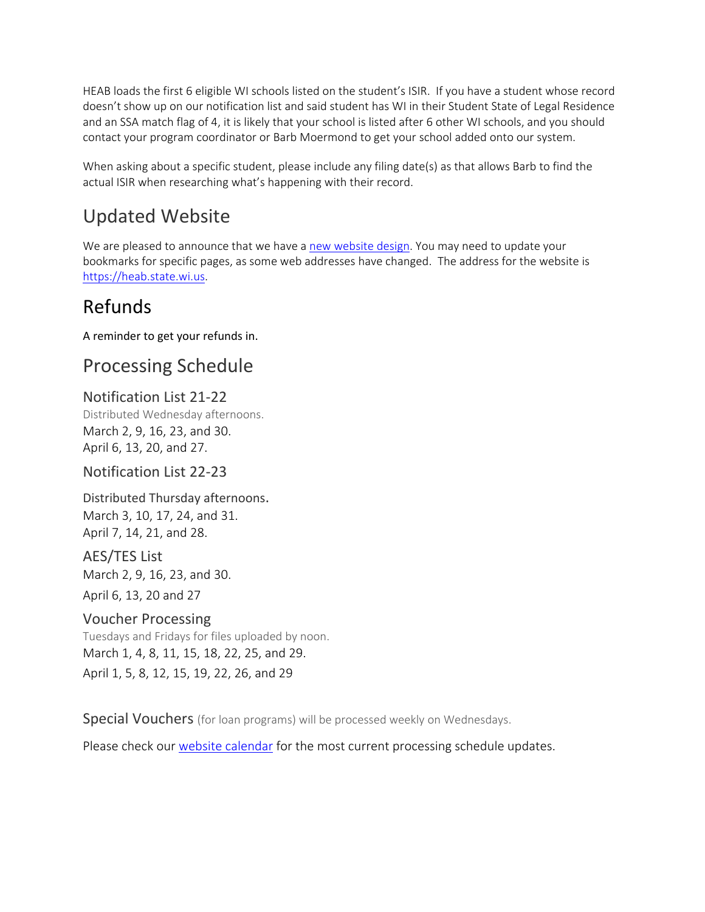HEAB loads the first 6 eligible WI schools listed on the student's ISIR. If you have a student whose record doesn't show up on our notification list and said student has WI in their Student State of Legal Residence and an SSA match flag of 4, it is likely that your school is listed after 6 other WI schools, and you should contact your program coordinator or Barb Moermond to get your school added onto our system.

When asking about a specific student, please include any filing date(s) as that allows Barb to find the actual ISIR when researching what's happening with their record.

# Updated Website

We are pleased to announce that we have a [new website design.](https://heab.state.wi.us/) You may need to update your bookmarks for specific pages, as some web addresses have changed. The address for the website is [https://heab.state.wi.us.](https://heab.state.wi.us/)

# Refunds

A reminder to get your refunds in.

# Processing Schedule

#### Notification List 21-22

Distributed Wednesday afternoons. March 2, 9, 16, 23, and 30. April 6, 13, 20, and 27.

#### Notification List 22-23

Distributed Thursday afternoons. March 3, 10, 17, 24, and 31. April 7, 14, 21, and 28.

AES/TES List March 2, 9, 16, 23, and 30. April 6, 13, 20 and 27

#### Voucher Processing

Tuesdays and Fridays for files uploaded by noon. March 1, 4, 8, 11, 15, 18, 22, 25, and 29. April 1, 5, 8, 12, 15, 19, 22, 26, and 29

Special Vouchers (for loan programs) will be processed weekly on Wednesdays.

Please check our [website calendar](https://heab.state.wi.us/pschedule.html) for the most current processing schedule updates.